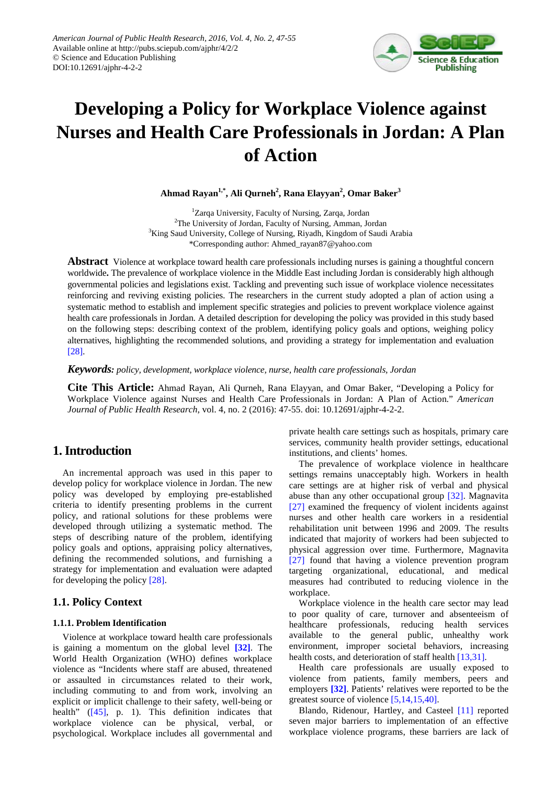

# **Developing a Policy for Workplace Violence against Nurses and Health Care Professionals in Jordan: A Plan of Action**

**Ahmad Rayan1,\*, Ali Qurneh2 , Rana Elayyan2 , Omar Baker<sup>3</sup>**

<sup>1</sup>Zarqa University, Faculty of Nursing, Zarqa, Jordan <sup>2</sup>The University of Jordan, Faculty of Nursing, Amman, Jordan <sup>3</sup>King Saud University, College of Nursing, Riyadh, Kingdom of Saudi Arabia \*Corresponding author: Ahmed\_rayan87@yahoo.com

**Abstract** Violence at workplace toward health care professionals including nurses is gaining a thoughtful concern worldwide**.** The prevalence of workplace violence in the Middle East including Jordan is considerably high although governmental policies and legislations exist. Tackling and preventing such issue of workplace violence necessitates reinforcing and reviving existing policies. The researchers in the current study adopted a plan of action using a systematic method to establish and implement specific strategies and policies to prevent workplace violence against health care professionals in Jordan. A detailed description for developing the policy was provided in this study based on the following steps: describing context of the problem, identifying policy goals and options, weighing policy alternatives, highlighting the recommended solutions, and providing a strategy for implementation and evaluation [\[28\].](#page-7-0)

*Keywords: policy, development, workplace violence, nurse, health care professionals, Jordan*

**Cite This Article:** Ahmad Rayan, Ali Qurneh, Rana Elayyan, and Omar Baker, "Developing a Policy for Workplace Violence against Nurses and Health Care Professionals in Jordan: A Plan of Action." *American Journal of Public Health Research*, vol. 4, no. 2 (2016): 47-55. doi: 10.12691/ajphr-4-2-2.

# **1. Introduction**

An incremental approach was used in this paper to develop policy for workplace violence in Jordan. The new policy was developed by employing pre-established criteria to identify presenting problems in the current policy, and rational solutions for these problems were developed through utilizing a systematic method. The steps of describing nature of the problem, identifying policy goals and options, appraising policy alternatives, defining the recommended solutions, and furnishing a strategy for implementation and evaluation were adapted for developing the policy [\[28\].](#page-7-0)

# **1.1. Policy Context**

## **1.1.1. Problem Identification**

Violence at workplace toward health care professionals is gaining a momentum on the global level **[\[32\]](#page-7-1)**. The World Health Organization (WHO) defines workplace violence as "Incidents where staff are abused, threatened or assaulted in circumstances related to their work, including commuting to and from work, involving an explicit or implicit challenge to their safety, well-being or health" [\(\[45\],](#page-8-0) p. 1). This definition indicates that workplace violence can be physical, verbal, or psychological. Workplace includes all governmental and

private health care settings such as hospitals, primary care services, community health provider settings, educational institutions, and clients' homes.

The prevalence of workplace violence in healthcare settings remains unacceptably high. Workers in health care settings are at higher risk of verbal and physical abuse than any other occupational group [\[32\].](#page-7-1) Magnavita [\[27\]](#page-7-2) examined the frequency of violent incidents against nurses and other health care workers in a residential rehabilitation unit between 1996 and 2009. The results indicated that majority of workers had been subjected to physical aggression over time. Furthermore, Magnavita [\[27\]](#page-7-2) found that having a violence prevention program targeting organizational, educational, and medical measures had contributed to reducing violence in the workplace.

Workplace violence in the health care sector may lead to poor quality of care, turnover and absenteeism of healthcare professionals, reducing health services available to the general public, unhealthy work environment, improper societal behaviors, increasing health costs, and deterioration of staff healt[h \[13,31\].](#page-7-3)

Health care professionals are usually exposed to violence from patients, family members, peers and employers **[\[32\]](#page-7-1)**. Patients' relatives were reported to be the greatest source of violence [\[5,14,15,40\].](#page-7-4)

Blando, Ridenour, Hartley, and Casteel [\[11\]](#page-7-5) reported seven major barriers to implementation of an effective workplace violence programs, these barriers are lack of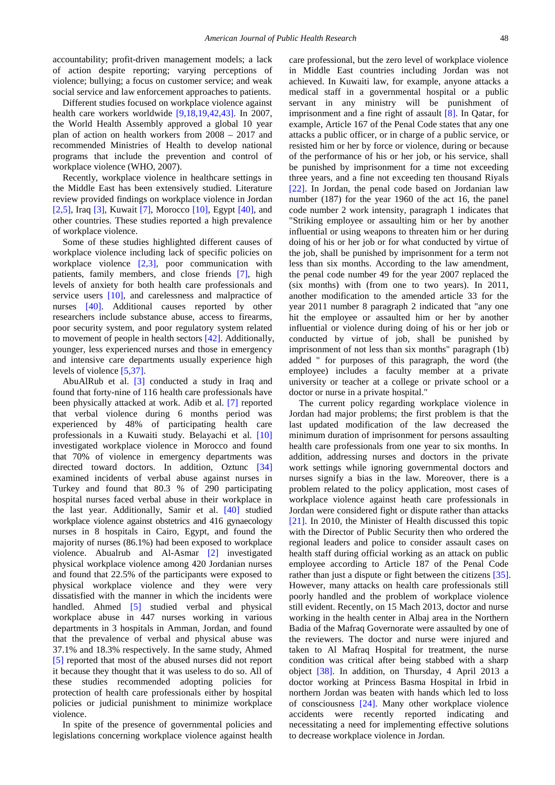accountability; profit-driven management models; a lack of action despite reporting; varying perceptions of violence; bullying; a focus on customer service; and weak social service and law enforcement approaches to patients.

Different studies focused on workplace violence against health care workers worldwide [\[9,18,19,42,43\].](#page-7-6) In 2007, the World Health Assembly approved a global 10 year plan of action on health workers from 2008 – 2017 and recommended Ministries of Health to develop national programs that include the prevention and control of workplace violence (WHO, 2007).

Recently, workplace violence in healthcare settings in the Middle East has been extensively studied. Literature review provided findings on workplace violence in Jordan [\[2,5\],](#page-7-7) Iraq [\[3\],](#page-7-8) Kuwait [\[7\],](#page-7-9) Morocco [\[10\],](#page-7-10) Egypt [\[40\],](#page-7-11) and other countries. These studies reported a high prevalence of workplace violence.

Some of these studies highlighted different causes of workplace violence including lack of specific policies on workplace violence [\[2,3\],](#page-7-7) poor communication with patients, family members, and close friends [\[7\],](#page-7-9) high levels of anxiety for both health care professionals and service users [\[10\],](#page-7-10) and carelessness and malpractice of nurses [\[40\].](#page-7-11) Additional causes reported by other researchers include substance abuse, access to firearms, poor security system, and poor regulatory system related to movement of people in health sectors [\[42\].](#page-7-12) Additionally, younger, less experienced nurses and those in emergency and intensive care departments usually experience high levels of violenc[e \[5,37\].](#page-7-4)

AbuAlRub et al. [\[3\]](#page-7-8) conducted a study in Iraq and found that forty-nine of 116 health care professionals have been physically attacked at work. Adib et al. [\[7\]](#page-7-9) reported that verbal violence during 6 months period was experienced by 48% of participating health care professionals in a Kuwaiti study. Belayachi et al. [\[10\]](#page-7-10) investigated workplace violence in Morocco and found that 70% of violence in emergency departments was directed toward doctors. In addition, Oztunc [\[34\]](#page-7-13) examined incidents of verbal abuse against nurses in Turkey and found that 80.3 % of 290 participating hospital nurses faced verbal abuse in their workplace in the last year. Additionally, Samir et al. [\[40\]](#page-7-11) studied workplace violence against obstetrics and 416 gynaecology nurses in 8 hospitals in Cairo, Egypt, and found the majority of nurses (86.1%) had been exposed to workplace violence. Abualrub and Al-Asmar [\[2\]](#page-7-7) investigated physical workplace violence among 420 Jordanian nurses and found that 22.5% of the participants were exposed to physical workplace violence and they were very dissatisfied with the manner in which the incidents were handled. Ahmed [\[5\]](#page-7-4) studied verbal and physical workplace abuse in 447 nurses working in various departments in 3 hospitals in Amman, Jordan, and found that the prevalence of verbal and physical abuse was 37.1% and 18.3% respectively. In the same study, Ahmed [\[5\]](#page-7-4) reported that most of the abused nurses did not report it because they thought that it was useless to do so. All of these studies recommended adopting policies for protection of health care professionals either by hospital policies or judicial punishment to minimize workplace violence.

In spite of the presence of governmental policies and legislations concerning workplace violence against health care professional, but the zero level of workplace violence in Middle East countries including Jordan was not achieved. In Kuwaiti law, for example, anyone attacks a medical staff in a governmental hospital or a public servant in any ministry will be punishment of imprisonment and a fine right of assault [\[8\].](#page-7-14) In Qatar, for example, Article 167 of the Penal Code states that any one attacks a public officer, or in charge of a public service, or resisted him or her by force or violence, during or because of the performance of his or her job, or his service, shall be punished by imprisonment for a time not exceeding three years, and a fine not exceeding ten thousand Riyals [\[22\].](#page-7-15) In Jordan, the penal code based on Jordanian law number (187) for the year 1960 of the act 16, the panel code number 2 work intensity, paragraph 1 indicates that "Striking employee or assaulting him or her by another influential or using weapons to threaten him or her during doing of his or her job or for what conducted by virtue of the job, shall be punished by imprisonment for a term not less than six months. According to the law amendment, the penal code number 49 for the year 2007 replaced the (six months) with (from one to two years). In 2011, another modification to the amended article 33 for the year 2011 number 8 paragraph 2 indicated that "any one hit the employee or assaulted him or her by another influential or violence during doing of his or her job or conducted by virtue of job, shall be punished by imprisonment of not less than six months" paragraph (1b) added " for purposes of this paragraph, the word (the employee) includes a faculty member at a private university or teacher at a college or private school or a doctor or nurse in a private hospital."

The current policy regarding workplace violence in Jordan had major problems; the first problem is that the last updated modification of the law decreased the minimum duration of imprisonment for persons assaulting health care professionals from one year to six months. In addition, addressing nurses and doctors in the private work settings while ignoring governmental doctors and nurses signify a bias in the law. Moreover, there is a problem related to the policy application, most cases of workplace violence against heath care professionals in Jordan were considered fight or dispute rather than attacks [\[21\].](#page-7-16) In 2010, the Minister of Health discussed this topic with the Director of Public Security then who ordered the regional leaders and police to consider assault cases on health staff during official working as an attack on public employee according to Article 187 of the Penal Code rather than just a dispute or fight between the citizens [\[35\].](#page-7-17) However, many attacks on health care professionals still poorly handled and the problem of workplace violence still evident. Recently, on 15 Mach 2013, doctor and nurse working in the health center in Albaj area in the Northern Badia of the Mafraq Governorate were assaulted by one of the reviewers. The doctor and nurse were injured and taken to Al Mafraq Hospital for treatment, the nurse condition was critical after being stabbed with a sharp object [\[38\].](#page-7-18) In addition, on Thursday, 4 April 2013 a doctor working at Princess Basma Hospital in Irbid in northern Jordan was beaten with hands which led to loss of consciousness [\[24\].](#page-7-19) Many other workplace violence accidents were recently reported indicating and necessitating a need for implementing effective solutions to decrease workplace violence in Jordan.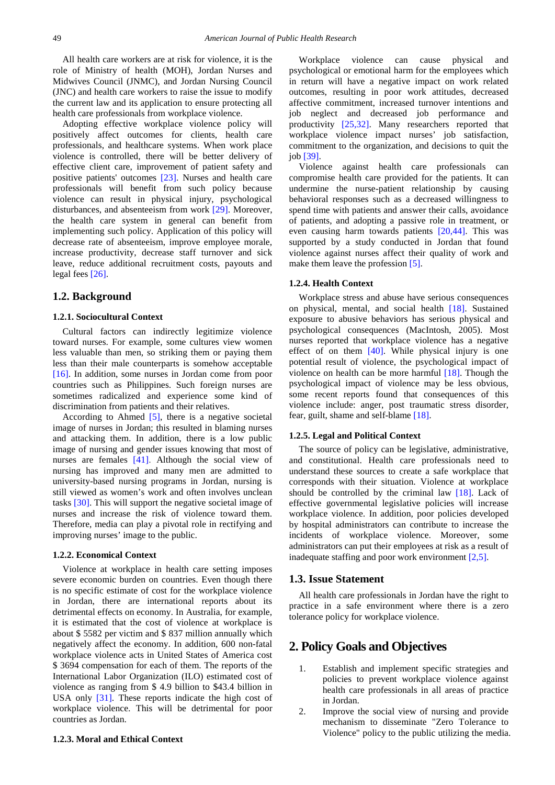All health care workers are at risk for violence, it is the role of Ministry of health (MOH), Jordan Nurses and Midwives Council (JNMC), and Jordan Nursing Council (JNC) and health care workers to raise the issue to modify the current law and its application to ensure protecting all health care professionals from workplace violence.

Adopting effective workplace violence policy will positively affect outcomes for clients, health care professionals, and healthcare systems. When work place violence is controlled, there will be better delivery of effective client care, improvement of patient safety and positive patients' outcomes [\[23\].](#page-7-20) Nurses and health care professionals will benefit from such policy because violence can result in physical injury, psychological disturbances, and absenteeism from work [\[29\].](#page-7-21) Moreover, the health care system in general can benefit from implementing such policy. Application of this policy will decrease rate of absenteeism, improve employee morale, increase productivity, decrease staff turnover and sick leave, reduce additional recruitment costs, payouts and legal fees [\[26\].](#page-7-22)

## **1.2. Background**

#### **1.2.1. Sociocultural Context**

Cultural factors can indirectly legitimize violence toward nurses. For example, some cultures view women less valuable than men, so striking them or paying them less than their male counterparts is somehow acceptable [\[16\].](#page-7-23) In addition, some nurses in Jordan come from poor countries such as Philippines. Such foreign nurses are sometimes radicalized and experience some kind of discrimination from patients and their relatives.

According to Ahmed  $[5]$ , there is a negative societal image of nurses in Jordan; this resulted in blaming nurses and attacking them. In addition, there is a low public image of nursing and gender issues knowing that most of nurses are females [\[41\].](#page-7-24) Although the social view of nursing has improved and many men are admitted to university-based nursing programs in Jordan, nursing is still viewed as women's work and often involves unclean tasks [\[30\].](#page-7-25) This will support the negative societal image of nurses and increase the risk of violence toward them. Therefore, media can play a pivotal role in rectifying and improving nurses' image to the public.

## **1.2.2. Economical Context**

Violence at workplace in health care setting imposes severe economic burden on countries. Even though there is no specific estimate of cost for the workplace violence in Jordan, there are international reports about its detrimental effects on economy. In Australia, for example, it is estimated that the cost of violence at workplace is about \$ 5582 per victim and \$ 837 million annually which negatively affect the economy. In addition, 600 non-fatal workplace violence acts in United States of America cost \$ 3694 compensation for each of them. The reports of the International Labor Organization (ILO) estimated cost of violence as ranging from \$ 4.9 billion to \$43.4 billion in USA only [\[31\].](#page-7-26) These reports indicate the high cost of workplace violence. This will be detrimental for poor countries as Jordan.

## **1.2.3. Moral and Ethical Context**

Workplace violence can cause physical and psychological or emotional harm for the employees which in return will have a negative impact on work related outcomes, resulting in poor work attitudes, decreased affective commitment, increased turnover intentions and job neglect and decreased job performance and productivity [\[25,32\].](#page-7-27) Many researchers reported that workplace violence impact nurses' job satisfaction, commitment to the organization, and decisions to quit the job [\[39\].](#page-7-28)

Violence against health care professionals can compromise health care provided for the patients. It can undermine the nurse-patient relationship by causing behavioral responses such as a decreased willingness to spend time with patients and answer their calls, avoidance of patients, and adopting a passive role in treatment, or even causing harm towards patients [\[20,44\].](#page-7-29) This was supported by a study conducted in Jordan that found violence against nurses affect their quality of work and make them leave the profession [\[5\].](#page-7-4)

#### **1.2.4. Health Context**

Workplace stress and abuse have serious consequences on physical, mental, and social health [\[18\].](#page-7-30) Sustained exposure to abusive behaviors has serious physical and psychological consequences (MacIntosh, 2005). Most nurses reported that workplace violence has a negative effect of on them [\[40\].](#page-7-11) While physical injury is one potential result of violence, the psychological impact of violence on health can be more harmful [\[18\].](#page-7-30) Though the psychological impact of violence may be less obvious, some recent reports found that consequences of this violence include: anger, post traumatic stress disorder, fear, guilt, shame and self-blame [\[18\].](#page-7-30)

#### **1.2.5. Legal and Political Context**

The source of policy can be legislative, administrative, and constitutional. Health care professionals need to understand these sources to create a safe workplace that corresponds with their situation. Violence at workplace should be controlled by the criminal law [\[18\].](#page-7-30) Lack of effective governmental legislative policies will increase workplace violence. In addition, poor policies developed by hospital administrators can contribute to increase the incidents of workplace violence. Moreover, some administrators can put their employees at risk as a result of inadequate staffing and poor work environment [\[2,5\].](#page-7-7)

## **1.3. Issue Statement**

All health care professionals in Jordan have the right to practice in a safe environment where there is a zero tolerance policy for workplace violence.

# **2. Policy Goals and Objectives**

- 1. Establish and implement specific strategies and policies to prevent workplace violence against health care professionals in all areas of practice in Jordan.
- 2. Improve the social view of nursing and provide mechanism to disseminate "Zero Tolerance to Violence" policy to the public utilizing the media.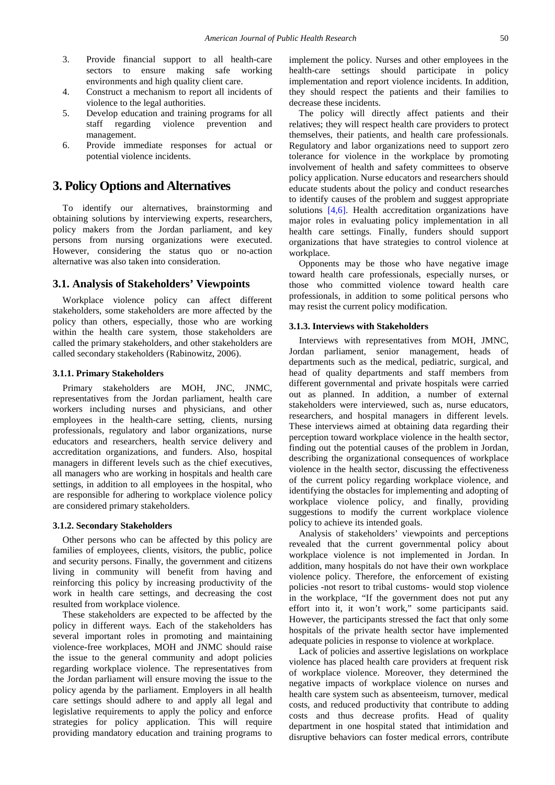- 3. Provide financial support to all health-care sectors to ensure making safe working environments and high quality client care.
- 4. Construct a mechanism to report all incidents of violence to the legal authorities.
- 5. Develop education and training programs for all staff regarding violence prevention and management.
- 6. Provide immediate responses for actual or potential violence incidents.

# **3. Policy Options and Alternatives**

To identify our alternatives, brainstorming and obtaining solutions by interviewing experts, researchers, policy makers from the Jordan parliament, and key persons from nursing organizations were executed. However, considering the status quo or no-action alternative was also taken into consideration.

## **3.1. Analysis of Stakeholders' Viewpoints**

Workplace violence policy can affect different stakeholders, some stakeholders are more affected by the policy than others, especially, those who are working within the health care system, those stakeholders are called the primary stakeholders, and other stakeholders are called secondary stakeholders (Rabinowitz, 2006).

#### **3.1.1. Primary Stakeholders**

Primary stakeholders are MOH, JNC, JNMC, representatives from the Jordan parliament, health care workers including nurses and physicians, and other employees in the health-care setting, clients, nursing professionals, regulatory and labor organizations, nurse educators and researchers, health service delivery and accreditation organizations, and funders. Also, hospital managers in different levels such as the chief executives, all managers who are working in hospitals and health care settings, in addition to all employees in the hospital, who are responsible for adhering to workplace violence policy are considered primary stakeholders.

#### **3.1.2. Secondary Stakeholders**

Other persons who can be affected by this policy are families of employees, clients, visitors, the public, police and security persons. Finally, the government and citizens living in community will benefit from having and reinforcing this policy by increasing productivity of the work in health care settings, and decreasing the cost resulted from workplace violence.

These stakeholders are expected to be affected by the policy in different ways. Each of the stakeholders has several important roles in promoting and maintaining violence-free workplaces, MOH and JNMC should raise the issue to the general community and adopt policies regarding workplace violence. The representatives from the Jordan parliament will ensure moving the issue to the policy agenda by the parliament. Employers in all health care settings should adhere to and apply all legal and legislative requirements to apply the policy and enforce strategies for policy application. This will require providing mandatory education and training programs to

implement the policy. Nurses and other employees in the health-care settings should participate in policy implementation and report violence incidents. In addition, they should respect the patients and their families to decrease these incidents.

The policy will directly affect patients and their relatives; they will respect health care providers to protect themselves, their patients, and health care professionals. Regulatory and labor organizations need to support zero tolerance for violence in the workplace by promoting involvement of health and safety committees to observe policy application. Nurse educators and researchers should educate students about the policy and conduct researches to identify causes of the problem and suggest appropriate solutions [\[4,6\].](#page-7-31) Health accreditation organizations have major roles in evaluating policy implementation in all health care settings. Finally, funders should support organizations that have strategies to control violence at workplace.

Opponents may be those who have negative image toward health care professionals, especially nurses, or those who committed violence toward health care professionals, in addition to some political persons who may resist the current policy modification.

#### **3.1.3. Interviews with Stakeholders**

Interviews with representatives from MOH, JMNC, Jordan parliament, senior management, heads of departments such as the medical, pediatric, surgical, and head of quality departments and staff members from different governmental and private hospitals were carried out as planned. In addition, a number of external stakeholders were interviewed, such as, nurse educators, researchers, and hospital managers in different levels. These interviews aimed at obtaining data regarding their perception toward workplace violence in the health sector, finding out the potential causes of the problem in Jordan, describing the organizational consequences of workplace violence in the health sector, discussing the effectiveness of the current policy regarding workplace violence, and identifying the obstacles for implementing and adopting of workplace violence policy, and finally, providing suggestions to modify the current workplace violence policy to achieve its intended goals.

Analysis of stakeholders' viewpoints and perceptions revealed that the current governmental policy about workplace violence is not implemented in Jordan. In addition, many hospitals do not have their own workplace violence policy. Therefore, the enforcement of existing policies -not resort to tribal customs- would stop violence in the workplace, "If the government does not put any effort into it, it won't work," some participants said. However, the participants stressed the fact that only some hospitals of the private health sector have implemented adequate policies in response to violence at workplace.

Lack of policies and assertive legislations on workplace violence has placed health care providers at frequent risk of workplace violence. Moreover, they determined the negative impacts of workplace violence on nurses and health care system such as absenteeism, turnover, medical costs, and reduced productivity that contribute to adding costs and thus decrease profits. Head of quality department in one hospital stated that intimidation and disruptive behaviors can foster medical errors, contribute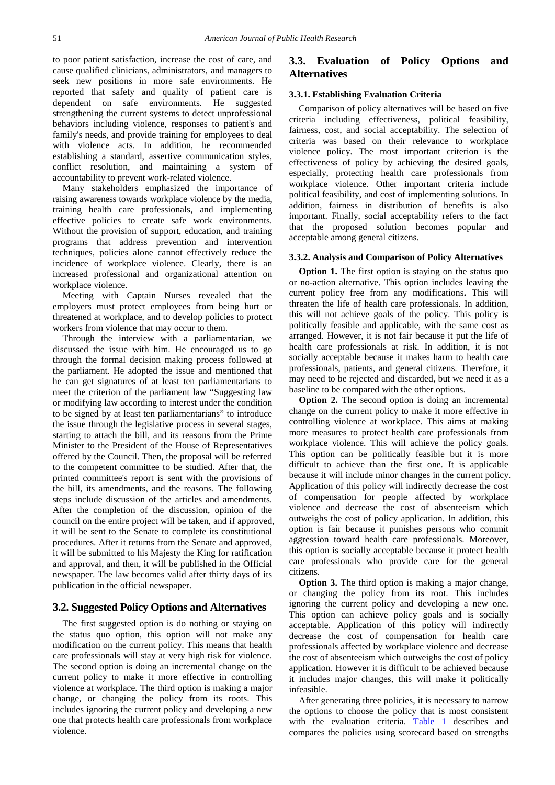to poor patient satisfaction, increase the cost of care, and cause qualified clinicians, administrators, and managers to seek new positions in more safe environments. He reported that safety and quality of patient care is dependent on safe environments. He suggested strengthening the current systems to detect unprofessional behaviors including violence, responses to patient's and family's needs, and provide training for employees to deal with violence acts. In addition, he recommended establishing a standard, assertive communication styles, conflict resolution, and maintaining a system of accountability to prevent work-related violence.

Many stakeholders emphasized the importance of raising awareness towards workplace violence by the media, training health care professionals, and implementing effective policies to create safe work environments. Without the provision of support, education, and training programs that address prevention and intervention techniques, policies alone cannot effectively reduce the incidence of workplace violence. Clearly, there is an increased professional and organizational attention on workplace violence.

Meeting with Captain Nurses revealed that the employers must protect employees from being hurt or threatened at workplace, and to develop policies to protect workers from violence that may occur to them.

Through the interview with a parliamentarian, we discussed the issue with him. He encouraged us to go through the formal decision making process followed at the parliament. He adopted the issue and mentioned that he can get signatures of at least ten parliamentarians to meet the criterion of the parliament law "Suggesting law or modifying law according to interest under the condition to be signed by at least ten parliamentarians" to introduce the issue through the legislative process in several stages, starting to attach the bill, and its reasons from the Prime Minister to the President of the House of Representatives offered by the Council. Then, the proposal will be referred to the competent committee to be studied. After that, the printed committee's report is sent with the provisions of the bill, its amendments, and the reasons. The following steps include discussion of the articles and amendments. After the completion of the discussion, opinion of the council on the entire project will be taken, and if approved, it will be sent to the Senate to complete its constitutional procedures. After it returns from the Senate and approved, it will be submitted to his Majesty the King for ratification and approval, and then, it will be published in the Official newspaper. The law becomes valid after thirty days of its publication in the official newspaper.

## **3.2. Suggested Policy Options and Alternatives**

The first suggested option is do nothing or staying on the status quo option, this option will not make any modification on the current policy. This means that health care professionals will stay at very high risk for violence. The second option is doing an incremental change on the current policy to make it more effective in controlling violence at workplace. The third option is making a major change, or changing the policy from its roots. This includes ignoring the current policy and developing a new one that protects health care professionals from workplace violence.

# **3.3. Evaluation of Policy Options and Alternatives**

## **3.3.1. Establishing Evaluation Criteria**

Comparison of policy alternatives will be based on five criteria including effectiveness, political feasibility, fairness, cost, and social acceptability. The selection of criteria was based on their relevance to workplace violence policy. The most important criterion is the effectiveness of policy by achieving the desired goals, especially, protecting health care professionals from workplace violence. Other important criteria include political feasibility, and cost of implementing solutions. In addition, fairness in distribution of benefits is also important. Finally, social acceptability refers to the fact that the proposed solution becomes popular and acceptable among general citizens.

#### **3.3.2. Analysis and Comparison of Policy Alternatives**

**Option 1.** The first option is staying on the status quo or no-action alternative. This option includes leaving the current policy free from any modifications**.** This will threaten the life of health care professionals. In addition, this will not achieve goals of the policy. This policy is politically feasible and applicable, with the same cost as arranged. However, it is not fair because it put the life of health care professionals at risk. In addition, it is not socially acceptable because it makes harm to health care professionals, patients, and general citizens. Therefore, it may need to be rejected and discarded, but we need it as a baseline to be compared with the other options.

**Option 2.** The second option is doing an incremental change on the current policy to make it more effective in controlling violence at workplace. This aims at making more measures to protect health care professionals from workplace violence. This will achieve the policy goals. This option can be politically feasible but it is more difficult to achieve than the first one. It is applicable because it will include minor changes in the current policy. Application of this policy will indirectly decrease the cost of compensation for people affected by workplace violence and decrease the cost of absenteeism which outweighs the cost of policy application. In addition, this option is fair because it punishes persons who commit aggression toward health care professionals. Moreover, this option is socially acceptable because it protect health care professionals who provide care for the general citizens.

**Option 3.** The third option is making a major change, or changing the policy from its root. This includes ignoring the current policy and developing a new one. This option can achieve policy goals and is socially acceptable. Application of this policy will indirectly decrease the cost of compensation for health care professionals affected by workplace violence and decrease the cost of absenteeism which outweighs the cost of policy application. However it is difficult to be achieved because it includes major changes, this will make it politically infeasible.

After generating three policies, it is necessary to narrow the options to choose the policy that is most consistent with the evaluation criteria. [Table 1](#page-5-0) describes and compares the policies using scorecard based on strengths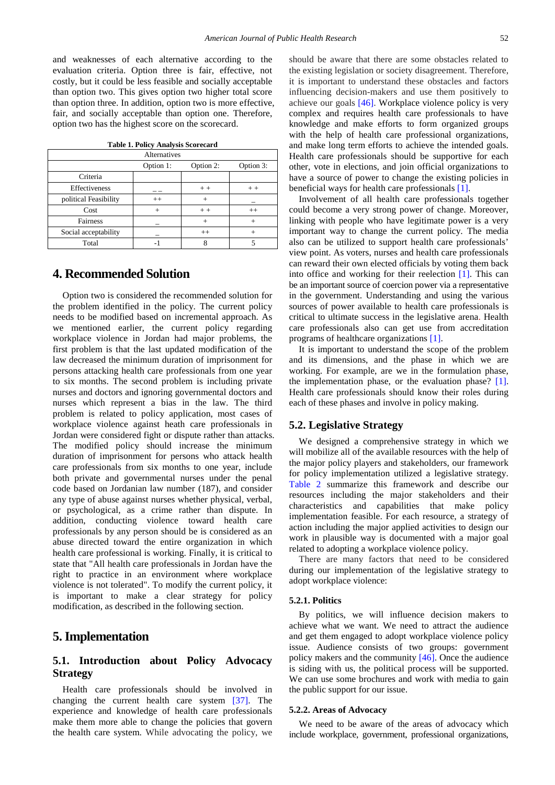and weaknesses of each alternative according to the evaluation criteria. Option three is fair, effective, not costly, but it could be less feasible and socially acceptable than option two. This gives option two higher total score than option three. In addition, option two is more effective, fair, and socially acceptable than option one. Therefore, option two has the highest score on the scorecard.

| <b>Table 1. Policy Analysis Scorecard</b> |  |  |
|-------------------------------------------|--|--|
|-------------------------------------------|--|--|

<span id="page-5-0"></span>

| Alternatives          |           |           |           |  |
|-----------------------|-----------|-----------|-----------|--|
|                       | Option 1: | Option 2: | Option 3: |  |
| Criteria              |           |           |           |  |
| Effectiveness         |           | $+ +$     | $+ +$     |  |
| political Feasibility | $++$      |           |           |  |
| Cost                  |           | $++$      | $++$      |  |
| Fairness              |           |           |           |  |
| Social acceptability  |           | $++$      |           |  |
| Total                 |           |           |           |  |

## **4. Recommended Solution**

Option two is considered the recommended solution for the problem identified in the policy. The current policy needs to be modified based on incremental approach. As we mentioned earlier, the current policy regarding workplace violence in Jordan had major problems, the first problem is that the last updated modification of the law decreased the minimum duration of imprisonment for persons attacking health care professionals from one year to six months. The second problem is including private nurses and doctors and ignoring governmental doctors and nurses which represent a bias in the law. The third problem is related to policy application, most cases of workplace violence against heath care professionals in Jordan were considered fight or dispute rather than attacks. The modified policy should increase the minimum duration of imprisonment for persons who attack health care professionals from six months to one year, include both private and governmental nurses under the penal code based on Jordanian law number (187), and consider any type of abuse against nurses whether physical, verbal, or psychological, as a crime rather than dispute. In addition, conducting violence toward health care professionals by any person should be is considered as an abuse directed toward the entire organization in which health care professional is working. Finally, it is critical to state that "All health care professionals in Jordan have the right to practice in an environment where workplace violence is not tolerated". To modify the current policy, it is important to make a clear strategy for policy modification, as described in the following section.

# **5. Implementation**

# **5.1. Introduction about Policy Advocacy Strategy**

Health care professionals should be involved in changing the current health care system [\[37\].](#page-7-32) The experience and knowledge of health care professionals make them more able to change the policies that govern the health care system. While advocating the policy, we

should be aware that there are some obstacles related to the existing legislation or society disagreement. Therefore, it is important to understand these obstacles and factors influencing decision-makers and use them positively to achieve our goals [\[46\].](#page-8-1) Workplace violence policy is very complex and requires health care professionals to have knowledge and make efforts to form organized groups with the help of health care professional organizations, and make long term efforts to achieve the intended goals. Health care professionals should be supportive for each other, vote in elections, and join official organizations to have a source of power to change the existing policies in beneficial ways for health care professional[s \[1\].](#page-7-33)

Involvement of all health care professionals together could become a very strong power of change. Moreover, linking with people who have legitimate power is a very important way to change the current policy. The media also can be utilized to support health care professionals' view point. As voters, nurses and health care professionals can reward their own elected officials by voting them back into office and working for their reelection [\[1\].](#page-7-33) This can be an important source of coercion power via a representative in the government. Understanding and using the various sources of power available to health care professionals is critical to ultimate success in the legislative arena. Health care professionals also can get use from accreditation programs of healthcare organizations [\[1\].](#page-7-33)

It is important to understand the scope of the problem and its dimensions, and the phase in which we are working. For example, are we in the formulation phase, the implementation phase, or the evaluation phase? [\[1\].](#page-7-33) Health care professionals should know their roles during each of these phases and involve in policy making.

## **5.2. Legislative Strategy**

We designed a comprehensive strategy in which we will mobilize all of the available resources with the help of the major policy players and stakeholders, our framework for policy implementation utilized a legislative strategy. [Table 2](#page-6-0) summarize this framework and describe our resources including the major stakeholders and their characteristics and capabilities that make policy implementation feasible. For each resource, a strategy of action including the major applied activities to design our work in plausible way is documented with a major goal related to adopting a workplace violence policy.

There are many factors that need to be considered during our implementation of the legislative strategy to adopt workplace violence:

#### **5.2.1. Politics**

By politics, we will influence decision makers to achieve what we want. We need to attract the audience and get them engaged to adopt workplace violence policy issue. Audience consists of two groups: government policy makers and the community [\[46\].](#page-8-1) Once the audience is siding with us, the political process will be supported. We can use some brochures and work with media to gain the public support for our issue.

#### **5.2.2. Areas of Advocacy**

We need to be aware of the areas of advocacy which include workplace, government, professional organizations,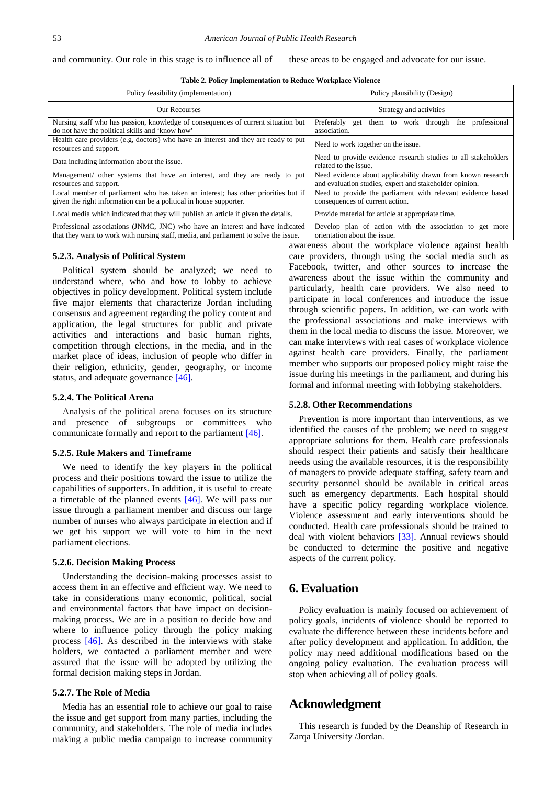| <b>Table 2. Policy Implementation to Reduce Workplace Violence</b> |  |
|--------------------------------------------------------------------|--|
|--------------------------------------------------------------------|--|

<span id="page-6-0"></span>

| Policy feasibility (implementation)                                                                                                                                   | Policy plausibility (Design)                                                                                           |
|-----------------------------------------------------------------------------------------------------------------------------------------------------------------------|------------------------------------------------------------------------------------------------------------------------|
| <b>Our Recourses</b>                                                                                                                                                  | Strategy and activities                                                                                                |
| Nursing staff who has passion, knowledge of consequences of current situation but<br>do not have the political skills and 'know how'                                  | professional<br>Preferably get them to work through the<br>association.                                                |
| Health care providers (e.g. doctors) who have an interest and they are ready to put<br>resources and support.                                                         | Need to work together on the issue.                                                                                    |
| Data including Information about the issue.                                                                                                                           | Need to provide evidence research studies to all stakeholders<br>related to the issue.                                 |
| Management/ other systems that have an interest, and they are ready to put<br>resources and support.                                                                  | Need evidence about applicability drawn from known research<br>and evaluation studies, expert and stakeholder opinion. |
| Local member of parliament who has taken an interest; has other priorities but if<br>given the right information can be a political in house supporter.               | Need to provide the parliament with relevant evidence based<br>consequences of current action.                         |
| Local media which indicated that they will publish an article if given the details.                                                                                   | Provide material for article at appropriate time.                                                                      |
| Professional associations (JNMC, JNC) who have an interest and have indicated<br>that they want to work with nursing staff, media, and parliament to solve the issue. | Develop plan of action with the association to get more<br>orientation about the issue.                                |

#### **5.2.3. Analysis of Political System**

Political system should be analyzed; we need to understand where, who and how to lobby to achieve objectives in policy development. Political system include five major elements that characterize Jordan including consensus and agreement regarding the policy content and application, the legal structures for public and private activities and interactions and basic human rights, competition through elections, in the media, and in the market place of ideas, inclusion of people who differ in their religion, ethnicity, gender, geography, or income status, and adequate governance [\[46\].](#page-8-1)

## **5.2.4. The Political Arena**

Analysis of the political arena focuses on its structure and presence of subgroups or committees who communicate formally and report to the parliament [\[46\].](#page-8-1)

## **5.2.5. Rule Makers and Timeframe**

We need to identify the key players in the political process and their positions toward the issue to utilize the capabilities of supporters. In addition, it is useful to create a timetable of the planned events [\[46\].](#page-8-1) We will pass our issue through a parliament member and discuss our large number of nurses who always participate in election and if we get his support we will vote to him in the next parliament elections.

#### **5.2.6. Decision Making Process**

Understanding the decision-making processes assist to access them in an effective and efficient way. We need to take in considerations many economic, political, social and environmental factors that have impact on decisionmaking process. We are in a position to decide how and where to influence policy through the policy making process [\[46\].](#page-8-1) As described in the interviews with stake holders, we contacted a parliament member and were assured that the issue will be adopted by utilizing the formal decision making steps in Jordan.

#### **5.2.7. The Role of Media**

Media has an essential role to achieve our goal to raise the issue and get support from many parties, including the community, and stakeholders. The role of media includes making a public media campaign to increase community awareness about the workplace violence against health care providers, through using the social media such as Facebook, twitter, and other sources to increase the awareness about the issue within the community and particularly, health care providers. We also need to participate in local conferences and introduce the issue through scientific papers. In addition, we can work with the professional associations and make interviews with them in the local media to discuss the issue. Moreover, we can make interviews with real cases of workplace violence against health care providers. Finally, the parliament member who supports our proposed policy might raise the issue during his meetings in the parliament, and during his formal and informal meeting with lobbying stakeholders.

#### **5.2.8. Other Recommendations**

Prevention is more important than interventions, as we identified the causes of the problem; we need to suggest appropriate solutions for them. Health care professionals should respect their patients and satisfy their healthcare needs using the available resources, it is the responsibility of managers to provide adequate staffing, safety team and security personnel should be available in critical areas such as emergency departments. Each hospital should have a specific policy regarding workplace violence. Violence assessment and early interventions should be conducted. Health care professionals should be trained to deal with violent behaviors [\[33\].](#page-7-34) Annual reviews should be conducted to determine the positive and negative aspects of the current policy.

# **6. Evaluation**

Policy evaluation is mainly focused on achievement of policy goals, incidents of violence should be reported to evaluate the difference between these incidents before and after policy development and application. In addition, the policy may need additional modifications based on the ongoing policy evaluation. The evaluation process will stop when achieving all of policy goals.

## **Acknowledgment**

This research is funded by the Deanship of Research in Zarqa University /Jordan.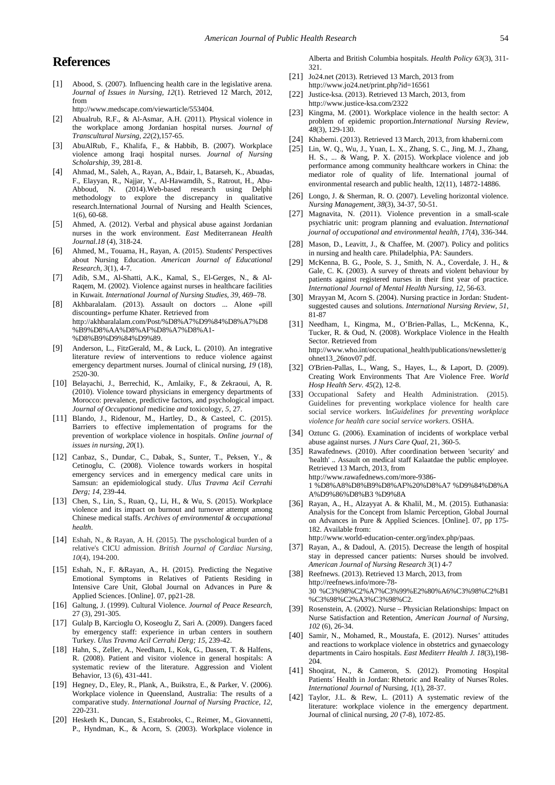# **References**

<span id="page-7-33"></span>[1] Abood, S*.* (2007)*.* Influencing health care in the legislative arena. *Journal of Issues in Nursing, 12*(1). Retrieved 12 March, 2012, from

http://www.medscape.com/viewarticle/553404.

- <span id="page-7-7"></span>[2] Abualrub, R.F., & Al-Asmar, A.H. (2011). Physical violence in the workplace among Jordanian hospital nurses. *Journal of Transcultural Nursing, 22*(2),157-65.
- <span id="page-7-8"></span>[3] AbuAlRub, F., Khalifa, F., & Habbib, B. (2007). Workplace violence among Iraqi hospital nurses. *Journal of Nursing Scholarship, 39*, 281-8.
- <span id="page-7-31"></span>[4] Ahmad, M., Saleh, A., Rayan, A., Bdair, I., Batarseh, K., Abuadas, F., Elayyan, R., Najjar, Y., Al-Hawamdih, S., Ratrout, H., Abu-Abboud, N. (2014).Web-based research using Delphi methodology to explore the discrepancy in qualitative research.International Journal of Nursing and Health Sciences, 1(6), 60-68.
- <span id="page-7-4"></span>[5] Ahmed, A. (2012). Verbal and physical abuse against Jordanian nurses in the work environment. *East* Mediterranean *Health Journal.18* (4), 318-24.
- [6] Ahmed, M., Touama, H., Rayan, A. (2015). Students' Perspectives about Nursing Education. *American Journal of Educational Research, 3*(1), 4-7.
- <span id="page-7-9"></span>[7] Adib, S.M., Al-Shatti, A.K., Kamal, S., El-Gerges, N., & Al-Raqem, M. (2002). Violence against nurses in healthcare facilities in Kuwait. *International Journal of Nursing Studies, 39*, 469–78.
- <span id="page-7-14"></span>[8] Akhbaralalam. (2013). Assault on doctors ... Alone «pill discounting» perfume Khater. Retrieved from http://akhbaralalam.com/Post/%D8%A7%D9%84%D8%A7%D8 %B9%D8%AA%D8%AF%D8%A7%D8%A1- %D8%B9%D9%84%D9%89.
- <span id="page-7-6"></span>[9] Anderson, L., FitzGerald, M., & Luck, L. (2010). An integrative literature review of interventions to reduce violence against emergency department nurses. Journal of clinical nursing, *19* (18), 2520-30.
- <span id="page-7-10"></span>[10] Belayachi, J., Berrechid, K., Amlaiky, F., & Zekraoui, A, R. (2010). Violence toward physicians in emergency departments of Morocco: prevalence, predictive factors, and psychological impact. *Journal of Occupational* medicine *and* toxicology*, 5*, 27.
- <span id="page-7-5"></span>[11] Blando, J., Ridenour, M., Hartley, D., & Casteel, C. (2015). Barriers to effective implementation of programs for the prevention of workplace violence in hospitals. *Online journal of issues in nursing, 20*(1).
- [12] Canbaz, S., Dundar, C., Dabak, S., Sunter, T., Peksen, Y., & Cetinoglu, C. (2008). Violence towards workers in hospital emergency services and in emergency medical care units in Samsun: an epidemiological study. *Ulus Travma Acil Cerrahi Derg; 14*, 239-44.
- <span id="page-7-3"></span>[13] Chen, S., Lin, S., Ruan, Q., Li, H., & Wu, S. (2015). Workplace violence and its impact on burnout and turnover attempt among Chinese medical staffs. *Archives of environmental & occupational health*.
- [14] Eshah, N., & Rayan, A. H. (2015). The pyschological burden of a relative's CICU admission. *British Journal of Cardiac Nursing*, *10*(4), 194-200.
- [15] Eshah, N., F. &Rayan, A., H. (2015). Predicting the Negative Emotional Symptoms in Relatives of Patients Residing in Intensive Care Unit, Global Journal on Advances in Pure & Applied Sciences. [Online]. 07, pp21-28.
- <span id="page-7-23"></span>[16] Galtung, J. (1999). Cultural Violence. *Journal of Peace Research*, 27 (3), 291-305.
- [17] Gulalp B, Karcioglu O, Koseoglu Z, Sari A. (2009). Dangers faced by emergency staff: experience in urban centers in southern Turkey. *Ulus Travma Acil Cerrahi Derg; 15*, 239-42.
- <span id="page-7-30"></span>[18] Hahn, S., Zeller, A., Needham, I., Kok, G., Dassen, T. & Halfens, R. (2008). Patient and visitor violence in general hospitals: A systematic review of the literature. Aggression and Violent Behavior, 13 (6), 431-441.
- [19] Hegney, D., Eley, R., Plank, A., Buikstra, E., & Parker, V. (2006). Workplace violence in Queensland, Australia: The results of a comparative study. *International Journal of Nursing Practice, 12*, 220-231.
- <span id="page-7-29"></span>[20] Hesketh K., Duncan, S., Estabrooks, C., Reimer, M., Giovannetti, P., Hyndman, K., & Acorn, S*.* (2003). Workplace violence in

Alberta and British Columbia hospitals. *Health Policy 63*(3), 311- 321.

- <span id="page-7-16"></span>[21] Jo24.net (2013). Retrieved 13 March, 2013 from http://www.jo24.net/print.php?id=16561
- <span id="page-7-15"></span>[22] Justice-ksa. (2013). Retrieved 13 March, 2013, from http://www.justice-ksa.com/2322
- <span id="page-7-20"></span>[23] Kingma, M. (2001). Workplace violence in the health sector: A problem of epidemic proportion.*International Nursing Review, 48*(3)*,* 129-130.
- <span id="page-7-19"></span>[24] Khaberni. (2013). Retrieved 13 March, 2013, from khaberni.com
- <span id="page-7-27"></span>[25] Lin, W. Q., Wu, J., Yuan, L. X., Zhang, S. C., Jing, M. J., Zhang, H. S., ... & Wang, P. X. (2015). Workplace violence and job performance among community healthcare workers in China: the mediator role of quality of life. International journal of environmental research and public health, 12(11), 14872-14886.
- <span id="page-7-22"></span>[26] Longo, J. & Sherman, R. O. (2007). Leveling horizontal violence. *Nursing Management, 38*(3), 34-37, 50-51.
- <span id="page-7-2"></span>[27] Magnavita, N. (2011). Violence prevention in a small-scale psychiatric unit: program planning and evaluation. *International journal of occupational and environmental health*, *17*(4), 336-344.
- <span id="page-7-0"></span>[28] Mason, D., Leavitt, J., & Chaffee, M. (2007). Policy and politics in nursing and health care. Philadelphia, PA: Saunders.
- <span id="page-7-21"></span>[29] McKenna, B. G., Poole, S. J., Smith, N. A., Coverdale, J. H., & Gale, C. K. (2003). A survey of threats and violent behaviour by patients against registered nurses in their first year of practice. *International Journal of Mental Health Nursing, 12,* 56-63.
- <span id="page-7-25"></span>[30] Mrayyan M, Acorn S. (2004). Nursing practice in Jordan: Studentsuggested causes and solutions. *International Nursing Review*, *51*, 81-87
- <span id="page-7-26"></span>[31] Needham, I., Kingma, M., O'Brien-Pallas, L., McKenna, K., Tucker, R. & Oud, N. (2008). Workplace Violence in the Health Sector. Retrieved from http://www.who.int/occupational\_health/publications/newsletter/g ohnet13\_26nov07.pdf.
- <span id="page-7-1"></span>[32] O'Brien-Pallas, L., Wang, S., Hayes, L., & Laport, D. (2009). Creating Work Environments That Are Violence Free. *World Hosp Health Serv. 45*(2), 12-8.
- <span id="page-7-34"></span>[33] Occupational Safety and Health Administration. (2015). Guidelines for preventing workplace violence for health care social service workers. In*Guidelines for preventing workplace violence for health care social service workers*. OSHA.
- <span id="page-7-13"></span>[34] Oztunc G. (2006). Examination of incidents of workplace verbal abuse against nurses. *J Nurs Care Qual,* 21, 360-5.
- <span id="page-7-17"></span>[35] Rawafednews. (2010). After coordination between 'security' and 'health' .. Assault on medical staff Kalaatdae the public employee. Retrieved 13 March, 2013, from http://www.rawafednews.com/more-9386- 1 %D8%A8%D8%B9%D8%AF%20%D8%A7 %D9%84%D8%A A%D9%86%D8%B3 %D9%8A
- [36] Rayan, A., H., Alzayyat A. & Khalil, M., M. (2015). Euthanasia: Analysis for the Concept from Islamic Perception, Global Journal on Advances in Pure & Applied Sciences. [Online]. 07, pp 175- 182. Available from: http://www.world-education-center.org/index.php/paas.
- <span id="page-7-32"></span>[37] Rayan, A., & Dadoul, A. (2015). Decrease the length of hospital stay in depressed cancer patients: Nurses should be involved. *American Journal of Nursing Research 3*(1) 4-7
- <span id="page-7-18"></span>[38] Reefnews. (2013). Retrieved 13 March, 2013, from http://reefnews.info/more-78- 30 %C3%98%C2%A7%C3%99%E2%80%A6%C3%98%C2%B1 %C3%98%C2%A3%C3%98%C2.
- <span id="page-7-28"></span>[39] Rosenstein, A. (2002). Nurse – Physician Relationships: Impact on Nurse Satisfaction and Retention, *American Journal of Nursing, 102* (6), 26-34.
- <span id="page-7-11"></span>[40] Samir, N., Mohamed, R., Moustafa, E. (2012). Nurses' attitudes and reactions to workplace violence in obstetrics and gynaecology departments in Cairo hospitals. *East Mediterr Health J. 18*(3),198- 204.
- <span id="page-7-24"></span>[41] Shoqirat, N., & Cameron, S. (2012). Promoting Hospital Patients' Health in Jordan: Rhetoric and Reality of Nurses Roles. *International Journal of* Nursing*, 1*(1), 28-37.
- <span id="page-7-12"></span>[42] Taylor, J.L. & Rew, L. (2011) A systematic review of the literature: workplace violence in the emergency department. Journal of clinical nursing, *20* (7-8)*,* 1072-85.